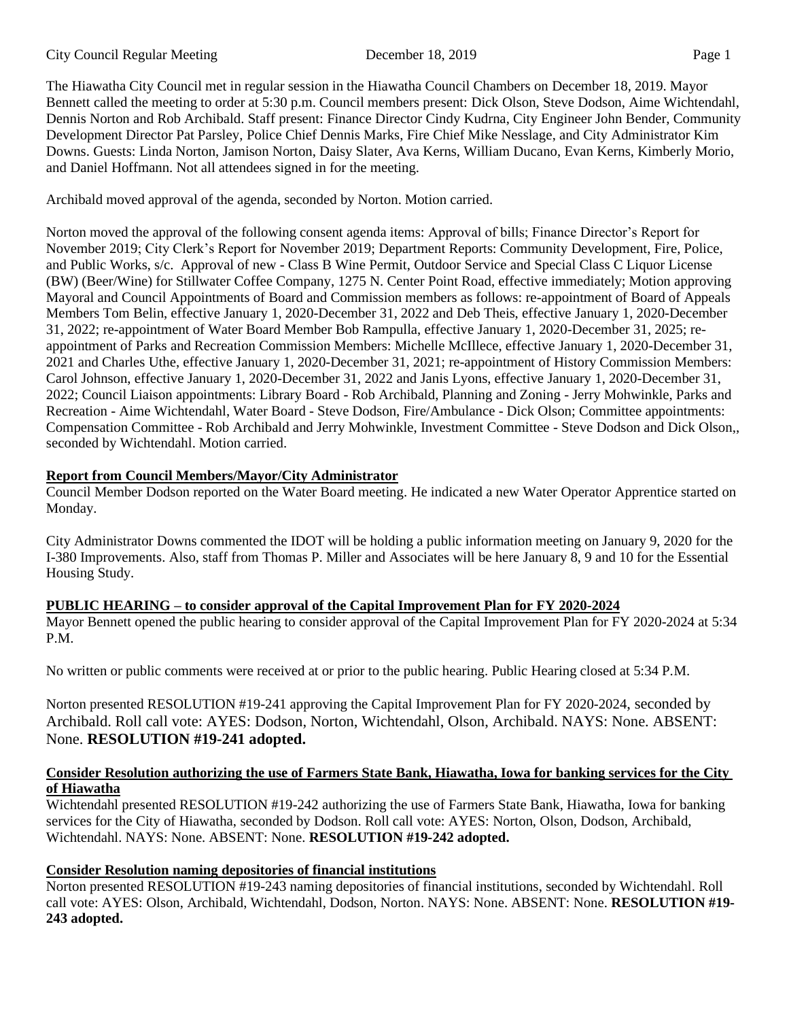The Hiawatha City Council met in regular session in the Hiawatha Council Chambers on December 18, 2019. Mayor Bennett called the meeting to order at 5:30 p.m. Council members present: Dick Olson, Steve Dodson, Aime Wichtendahl, Dennis Norton and Rob Archibald. Staff present: Finance Director Cindy Kudrna, City Engineer John Bender, Community Development Director Pat Parsley, Police Chief Dennis Marks, Fire Chief Mike Nesslage, and City Administrator Kim Downs. Guests: Linda Norton, Jamison Norton, Daisy Slater, Ava Kerns, William Ducano, Evan Kerns, Kimberly Morio, and Daniel Hoffmann. Not all attendees signed in for the meeting.

Archibald moved approval of the agenda, seconded by Norton. Motion carried.

Norton moved the approval of the following consent agenda items: Approval of bills; Finance Director's Report for November 2019; City Clerk's Report for November 2019; Department Reports: Community Development, Fire, Police, and Public Works, s/c. Approval of new - Class B Wine Permit, Outdoor Service and Special Class C Liquor License (BW) (Beer/Wine) for Stillwater Coffee Company, 1275 N. Center Point Road, effective immediately; Motion approving Mayoral and Council Appointments of Board and Commission members as follows: re-appointment of Board of Appeals Members Tom Belin, effective January 1, 2020-December 31, 2022 and Deb Theis, effective January 1, 2020-December 31, 2022; re-appointment of Water Board Member Bob Rampulla, effective January 1, 2020-December 31, 2025; reappointment of Parks and Recreation Commission Members: Michelle McIllece, effective January 1, 2020-December 31, 2021 and Charles Uthe, effective January 1, 2020-December 31, 2021; re-appointment of History Commission Members: Carol Johnson, effective January 1, 2020-December 31, 2022 and Janis Lyons, effective January 1, 2020-December 31, 2022; Council Liaison appointments: Library Board - Rob Archibald, Planning and Zoning - Jerry Mohwinkle, Parks and Recreation - Aime Wichtendahl, Water Board - Steve Dodson, Fire/Ambulance - Dick Olson; Committee appointments: Compensation Committee - Rob Archibald and Jerry Mohwinkle, Investment Committee - Steve Dodson and Dick Olson,, seconded by Wichtendahl. Motion carried.

## **Report from Council Members/Mayor/City Administrator**

Council Member Dodson reported on the Water Board meeting. He indicated a new Water Operator Apprentice started on Monday.

City Administrator Downs commented the IDOT will be holding a public information meeting on January 9, 2020 for the I-380 Improvements. Also, staff from Thomas P. Miller and Associates will be here January 8, 9 and 10 for the Essential Housing Study.

# **PUBLIC HEARING – to consider approval of the Capital Improvement Plan for FY 2020-2024**

Mayor Bennett opened the public hearing to consider approval of the Capital Improvement Plan for FY 2020-2024 at 5:34 P.M.

No written or public comments were received at or prior to the public hearing. Public Hearing closed at 5:34 P.M.

Norton presented RESOLUTION #19-241 approving the Capital Improvement Plan for FY 2020-2024, seconded by Archibald. Roll call vote: AYES: Dodson, Norton, Wichtendahl, Olson, Archibald. NAYS: None. ABSENT: None. **RESOLUTION #19-241 adopted.** 

## **Consider Resolution authorizing the use of Farmers State Bank, Hiawatha, Iowa for banking services for the City of Hiawatha**

Wichtendahl presented RESOLUTION #19-242 authorizing the use of Farmers State Bank, Hiawatha, Iowa for banking services for the City of Hiawatha, seconded by Dodson. Roll call vote: AYES: Norton, Olson, Dodson, Archibald, Wichtendahl. NAYS: None. ABSENT: None. **RESOLUTION #19-242 adopted.** 

# **Consider Resolution naming depositories of financial institutions**

Norton presented RESOLUTION #19-243 naming depositories of financial institutions, seconded by Wichtendahl. Roll call vote: AYES: Olson, Archibald, Wichtendahl, Dodson, Norton. NAYS: None. ABSENT: None. **RESOLUTION #19- 243 adopted.**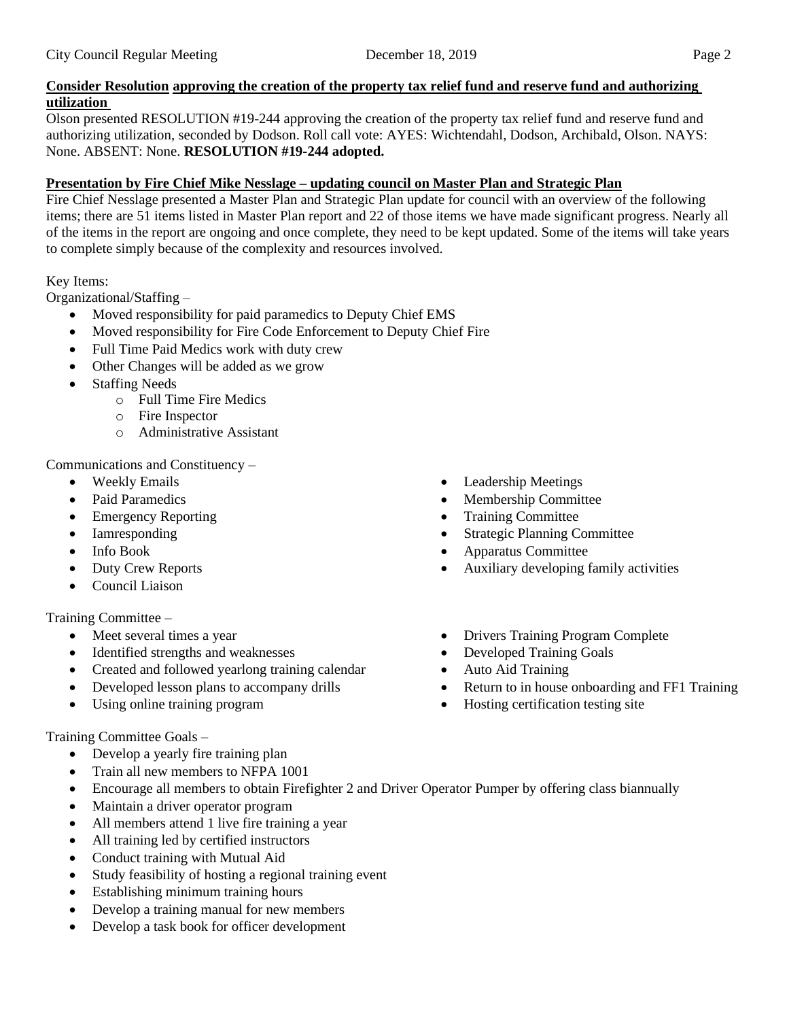## **Consider Resolution approving the creation of the property tax relief fund and reserve fund and authorizing utilization**

Olson presented RESOLUTION #19-244 approving the creation of the property tax relief fund and reserve fund and authorizing utilization, seconded by Dodson. Roll call vote: AYES: Wichtendahl, Dodson, Archibald, Olson. NAYS: None. ABSENT: None. **RESOLUTION #19-244 adopted.** 

### **Presentation by Fire Chief Mike Nesslage – updating council on Master Plan and Strategic Plan**

Fire Chief Nesslage presented a Master Plan and Strategic Plan update for council with an overview of the following items; there are 51 items listed in Master Plan report and 22 of those items we have made significant progress. Nearly all of the items in the report are ongoing and once complete, they need to be kept updated. Some of the items will take years to complete simply because of the complexity and resources involved.

## Key Items:

Organizational/Staffing –

- Moved responsibility for paid paramedics to Deputy Chief EMS
- Moved responsibility for Fire Code Enforcement to Deputy Chief Fire
- Full Time Paid Medics work with duty crew
- Other Changes will be added as we grow
- **Staffing Needs** 
	- o Full Time Fire Medics
	- o Fire Inspector
	- o Administrative Assistant

Communications and Constituency –

- Weekly Emails
- Paid Paramedics
- Emergency Reporting
- Iamresponding
- Info Book
- Duty Crew Reports
- Council Liaison

### Training Committee –

- Meet several times a year
- Identified strengths and weaknesses
- Created and followed yearlong training calendar
- Developed lesson plans to accompany drills
- Using online training program

### Training Committee Goals –

- Develop a yearly fire training plan
- Train all new members to NFPA 1001
- Encourage all members to obtain Firefighter 2 and Driver Operator Pumper by offering class biannually
- Maintain a driver operator program
- All members attend 1 live fire training a year
- All training led by certified instructors
- Conduct training with Mutual Aid
- Study feasibility of hosting a regional training event
- Establishing minimum training hours
- Develop a training manual for new members
- Develop a task book for officer development
- Leadership Meetings
- Membership Committee
- Training Committee
- **Strategic Planning Committee**
- Apparatus Committee
- Auxiliary developing family activities
- Drivers Training Program Complete
- Developed Training Goals
- Auto Aid Training
- Return to in house onboarding and FF1 Training
- Hosting certification testing site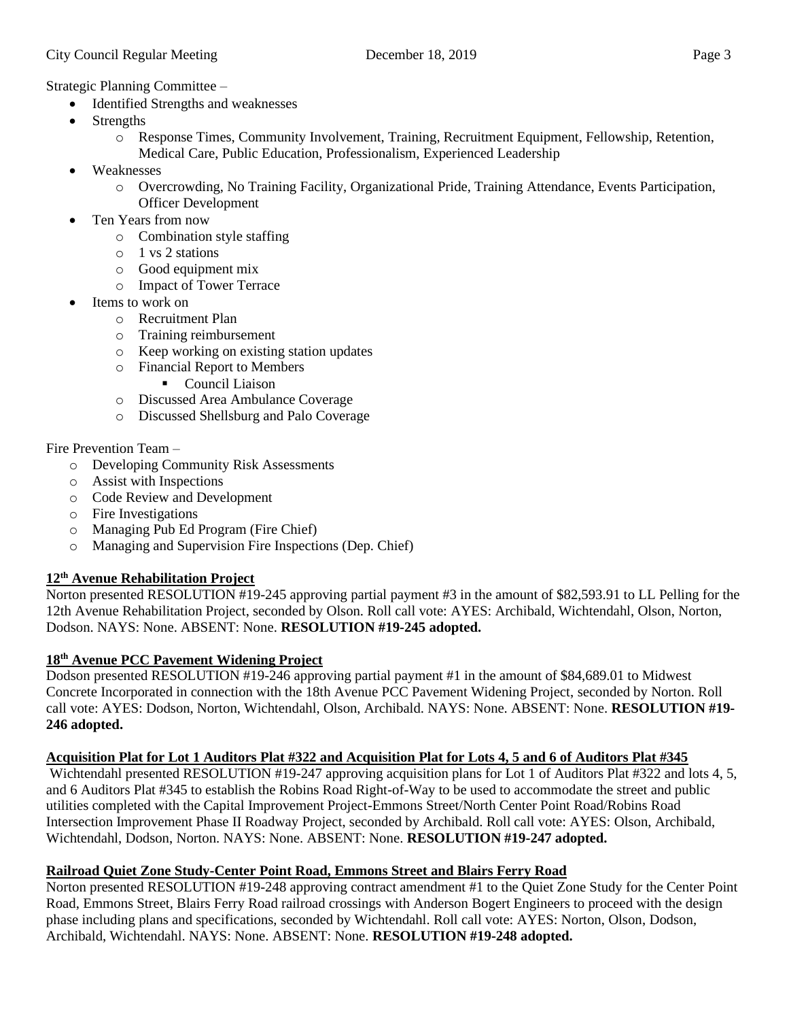Strategic Planning Committee –

- Identified Strengths and weaknesses
- **Strengths** 
	- o Response Times, Community Involvement, Training, Recruitment Equipment, Fellowship, Retention, Medical Care, Public Education, Professionalism, Experienced Leadership
- Weaknesses
	- o Overcrowding, No Training Facility, Organizational Pride, Training Attendance, Events Participation, Officer Development
- Ten Years from now
	- o Combination style staffing
	- o 1 vs 2 stations
	- o Good equipment mix
	- o Impact of Tower Terrace
- Items to work on
	- o Recruitment Plan
	- o Training reimbursement
	- o Keep working on existing station updates
	- o Financial Report to Members
		- Council Liaison
	- o Discussed Area Ambulance Coverage
	- o Discussed Shellsburg and Palo Coverage

Fire Prevention Team –

- o Developing Community Risk Assessments
- o Assist with Inspections
- o Code Review and Development
- o Fire Investigations
- o Managing Pub Ed Program (Fire Chief)
- o Managing and Supervision Fire Inspections (Dep. Chief)

## **12th Avenue Rehabilitation Project**

Norton presented RESOLUTION #19-245 approving partial payment #3 in the amount of \$82,593.91 to LL Pelling for the 12th Avenue Rehabilitation Project, seconded by Olson. Roll call vote: AYES: Archibald, Wichtendahl, Olson, Norton, Dodson. NAYS: None. ABSENT: None. **RESOLUTION #19-245 adopted.**

## **18th Avenue PCC Pavement Widening Project**

Dodson presented RESOLUTION #19-246 approving partial payment #1 in the amount of \$84,689.01 to Midwest Concrete Incorporated in connection with the 18th Avenue PCC Pavement Widening Project, seconded by Norton. Roll call vote: AYES: Dodson, Norton, Wichtendahl, Olson, Archibald. NAYS: None. ABSENT: None. **RESOLUTION #19- 246 adopted.** 

# **Acquisition Plat for Lot 1 Auditors Plat #322 and Acquisition Plat for Lots 4, 5 and 6 of Auditors Plat #345**

Wichtendahl presented RESOLUTION #19-247 approving acquisition plans for Lot 1 of Auditors Plat #322 and lots 4, 5, and 6 Auditors Plat #345 to establish the Robins Road Right-of-Way to be used to accommodate the street and public utilities completed with the Capital Improvement Project-Emmons Street/North Center Point Road/Robins Road Intersection Improvement Phase II Roadway Project, seconded by Archibald. Roll call vote: AYES: Olson, Archibald, Wichtendahl, Dodson, Norton. NAYS: None. ABSENT: None. **RESOLUTION #19-247 adopted.** 

# **Railroad Quiet Zone Study-Center Point Road, Emmons Street and Blairs Ferry Road**

Norton presented RESOLUTION #19-248 approving contract amendment #1 to the Quiet Zone Study for the Center Point Road, Emmons Street, Blairs Ferry Road railroad crossings with Anderson Bogert Engineers to proceed with the design phase including plans and specifications, seconded by Wichtendahl. Roll call vote: AYES: Norton, Olson, Dodson, Archibald, Wichtendahl. NAYS: None. ABSENT: None. **RESOLUTION #19-248 adopted.**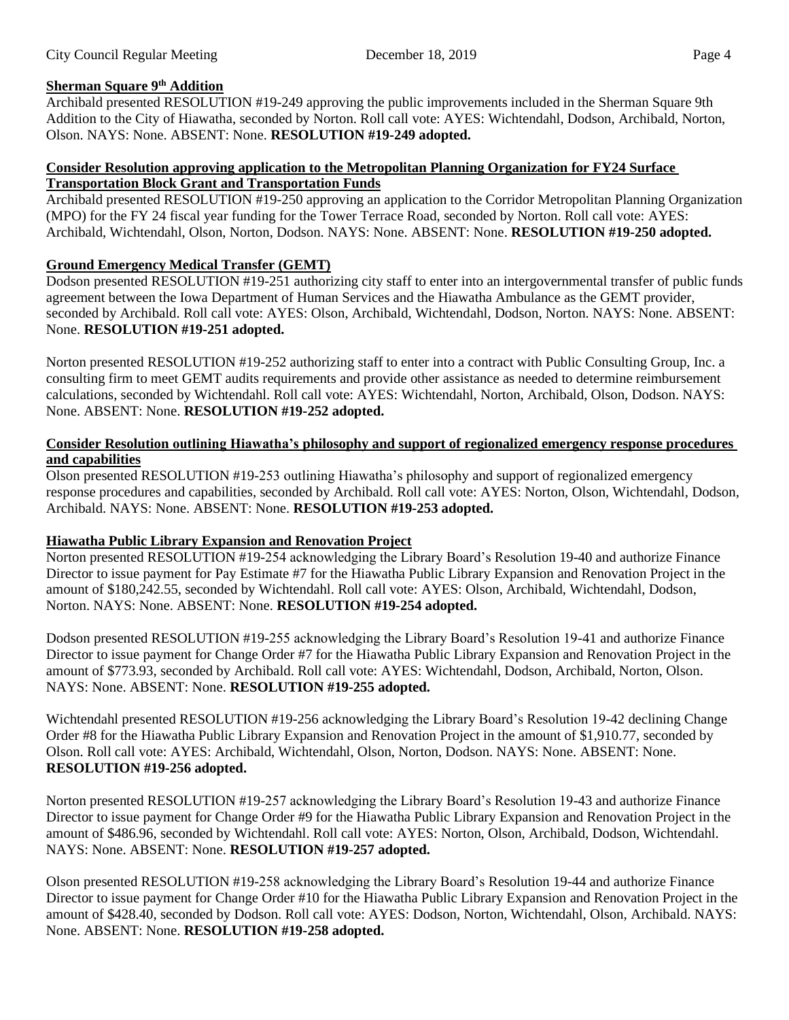## **Sherman Square 9th Addition**

Archibald presented RESOLUTION #19-249 approving the public improvements included in the Sherman Square 9th Addition to the City of Hiawatha, seconded by Norton. Roll call vote: AYES: Wichtendahl, Dodson, Archibald, Norton, Olson. NAYS: None. ABSENT: None. **RESOLUTION #19-249 adopted.** 

### **Consider Resolution approving application to the Metropolitan Planning Organization for FY24 Surface Transportation Block Grant and Transportation Funds**

Archibald presented RESOLUTION #19-250 approving an application to the Corridor Metropolitan Planning Organization (MPO) for the FY 24 fiscal year funding for the Tower Terrace Road, seconded by Norton. Roll call vote: AYES: Archibald, Wichtendahl, Olson, Norton, Dodson. NAYS: None. ABSENT: None. **RESOLUTION #19-250 adopted.** 

## **Ground Emergency Medical Transfer (GEMT)**

Dodson presented RESOLUTION #19-251 authorizing city staff to enter into an intergovernmental transfer of public funds agreement between the Iowa Department of Human Services and the Hiawatha Ambulance as the GEMT provider, seconded by Archibald. Roll call vote: AYES: Olson, Archibald, Wichtendahl, Dodson, Norton. NAYS: None. ABSENT: None. **RESOLUTION #19-251 adopted.** 

Norton presented RESOLUTION #19-252 authorizing staff to enter into a contract with Public Consulting Group, Inc. a consulting firm to meet GEMT audits requirements and provide other assistance as needed to determine reimbursement calculations, seconded by Wichtendahl. Roll call vote: AYES: Wichtendahl, Norton, Archibald, Olson, Dodson. NAYS: None. ABSENT: None. **RESOLUTION #19-252 adopted.** 

### **Consider Resolution outlining Hiawatha's philosophy and support of regionalized emergency response procedures and capabilities**

Olson presented RESOLUTION #19-253 outlining Hiawatha's philosophy and support of regionalized emergency response procedures and capabilities, seconded by Archibald. Roll call vote: AYES: Norton, Olson, Wichtendahl, Dodson, Archibald. NAYS: None. ABSENT: None. **RESOLUTION #19-253 adopted.** 

## **Hiawatha Public Library Expansion and Renovation Project**

Norton presented RESOLUTION #19-254 acknowledging the Library Board's Resolution 19-40 and authorize Finance Director to issue payment for Pay Estimate #7 for the Hiawatha Public Library Expansion and Renovation Project in the amount of \$180,242.55, seconded by Wichtendahl. Roll call vote: AYES: Olson, Archibald, Wichtendahl, Dodson, Norton. NAYS: None. ABSENT: None. **RESOLUTION #19-254 adopted.** 

Dodson presented RESOLUTION #19-255 acknowledging the Library Board's Resolution 19-41 and authorize Finance Director to issue payment for Change Order #7 for the Hiawatha Public Library Expansion and Renovation Project in the amount of \$773.93, seconded by Archibald. Roll call vote: AYES: Wichtendahl, Dodson, Archibald, Norton, Olson. NAYS: None. ABSENT: None. **RESOLUTION #19-255 adopted.** 

Wichtendahl presented RESOLUTION #19-256 acknowledging the Library Board's Resolution 19-42 declining Change Order #8 for the Hiawatha Public Library Expansion and Renovation Project in the amount of \$1,910.77, seconded by Olson. Roll call vote: AYES: Archibald, Wichtendahl, Olson, Norton, Dodson. NAYS: None. ABSENT: None. **RESOLUTION #19-256 adopted.** 

Norton presented RESOLUTION #19-257 acknowledging the Library Board's Resolution 19-43 and authorize Finance Director to issue payment for Change Order #9 for the Hiawatha Public Library Expansion and Renovation Project in the amount of \$486.96, seconded by Wichtendahl. Roll call vote: AYES: Norton, Olson, Archibald, Dodson, Wichtendahl. NAYS: None. ABSENT: None. **RESOLUTION #19-257 adopted.** 

Olson presented RESOLUTION #19-258 acknowledging the Library Board's Resolution 19-44 and authorize Finance Director to issue payment for Change Order #10 for the Hiawatha Public Library Expansion and Renovation Project in the amount of \$428.40, seconded by Dodson. Roll call vote: AYES: Dodson, Norton, Wichtendahl, Olson, Archibald. NAYS: None. ABSENT: None. **RESOLUTION #19-258 adopted.**